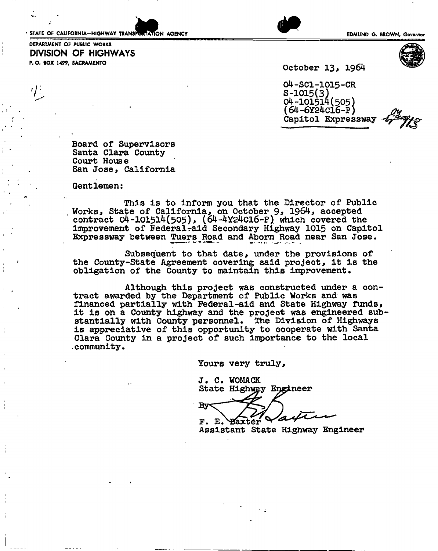• STATE OF CALIFORNIA-HIGHWAY TRANSPORTATION AGENCY EDMUND G. BROWN, Governor

DEPARTMENT OF PUBLIC WORKS

P. O. BOX 1499, SACRAMENTO

DIVISION OF HIGHWAYS



October 13, 1964

, 04-SCI-1015-CR  $7 \pm 1019$ S-1015(3) 04-101514(505) (64-6Y24C16-P) Capitol Expressway

> Board of Supervisors Santa Clara County Court House San Jose, California

Gentlemen:

This is to inform you that the Director of Public Works, State of California, on October 1964, accepted contract 04-101514(505), (64-4Y24C16-P) which covered the improvement of Federal-aid Secondary Highway 1015 on Capitol Expressway between Tuers Road and Aborn Road near San Jose.

Subsequent to that date, under the provisions of the County-State Agreement covering said project, it is the obligation of the County to maintain this improvement.

Although this project was constructed under a contract awarded by the Department of Public Works and was financed partially with Federal-aid and State Highway funds, it is on a County highway and the project was engineered substantially with County personnel. The Division of Highways is appreciative of this opportunity to cooperate with Santa Clara County in a project of such importance to the local community.

Yours very truly,

J. C. WOMACK<br>State Highw<u>a</u>y Engineer

Bv  $F. E.$ **Baxter** 

Assistant State Highway Engineer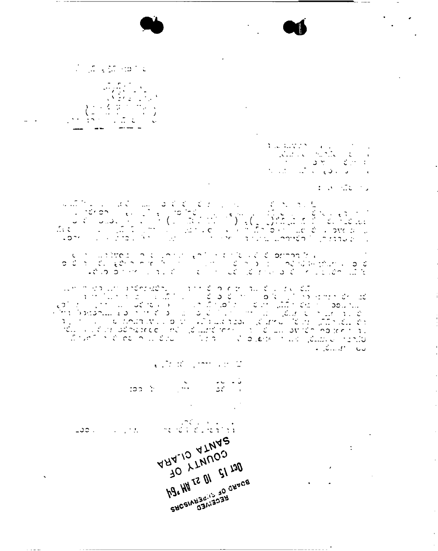a de la conte

 $\sim$   $\sim$ 

> $\begin{array}{l} \displaystyle \mathbf{1}_{\mathcal{A}}\log\mathrm{Tr}(\nabla\mathcal{D})=\mathbf{1}_{\mathcal{A}}\log\left(\frac{1}{\mathcal{A}}\right) \log\left(\frac{1}{\mathcal{A}}\right)\\ \displaystyle -\frac{1}{\mathcal{A}}\log\log\left(\frac{1}{\mathcal{A}}\log\left(\frac{1}{\mathcal{A}}\right)\right) \log\left(\frac{1}{\mathcal{A}}\right) \log\left(\frac{1}{\mathcal{A}}\right) \log\left(\frac{1}{\mathcal{A}}\right) \log\left(\frac{1}{\mathcal{A}}\right) \log\left(\frac{1$  $\mathcal{A}^{\text{max}}_{\text{max}} = \mathcal{A}^{\text{max}}_{\text{max}} = \mathcal{A}^{\text{max}}_{\text{max}}$  $\label{eq:2.1} \mathcal{V}_{\mathcal{C}}(z,\xi)=\mathcal{V}_{\mathcal{C}}(z,\xi)\mathcal{V}_{\mathcal{C}}(z,\xi)=\mathcal{V}_{\mathcal{C}}(z,\xi)$

> > $\mathcal{L}(\mathcal{N})$  . The set of

 $\sim$  1.

 $\mathbf{z}$ 

 $\bar{1}$ 

 $\mathcal{L}$ 

ທ່ານຄື 318 ໂອເລລັກ ມີຢູ່ນັ້ນ ທີ່ War ກໍ່ມີ 2018 ໃນການ ໃນວັນທີ 2019 ໃນການເ ມີສາມາ*ກ*ັບບ

> $\epsilon$  , in  $\mathcal{R}$  , and an  $\mathcal{Q}$ ن دان دان<br>المال الأول

 $\frac{1}{2}$ 

JO LLNNOS

h9. HH 22 01 51 130

SHCSINUS AND CHYCB

י יותר לאחר<br>לכל המינוס לוטי מחיים הוא יותר ליותר הוא סטב ARA-10 ATMAR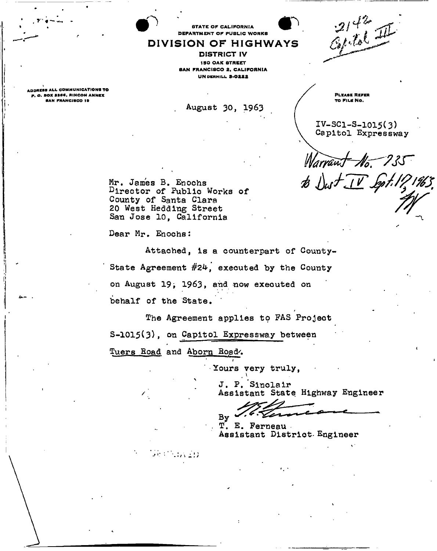**STATE OF CALIFORNIA** DEPARTMENT OF PUBLIC WORKS

DIVISION OF HIGHWAYS DISTRICT IV **ISO OAK STREET** BAN FRANCISCO 2, CALIFORNIA **UN DERHILL 3-0222** 

*-fr -*

 $\mathbf{P}$ 

ADDRESS ALL COMMUNICATIONS TO P . o. BOX asee. RINCON ANNKX **BAN FRANCISCO 19** 

*r-*\* -

August 30, 1963

PLEASE REFER TO FILE NO.

 $IV-SC1-S-1015(3)$ Capitol Expressway

*Marraw<del>)</del>* No. 735

*tir* 

Mr. James B. Enochs Director of Public Works of County of Santa Clara 20 West Heading Street San Jose 10, California

 $56.0133320$ 

Dear Mr, Enochs:

Attached, is a counterpart of County-State Agreement  $#24$ , executed by the County on August 19; 1963, and now executed on behalf of the State.

The Agreement applies to FAS Project S-1015(3), on Capitol Expressway between Tuers Road and Aborn Road.

j

' Yours very truly,

J. P. Sinclair Assistant State Highway Engineer

By

T. E. Perneau Assistant District- Engineer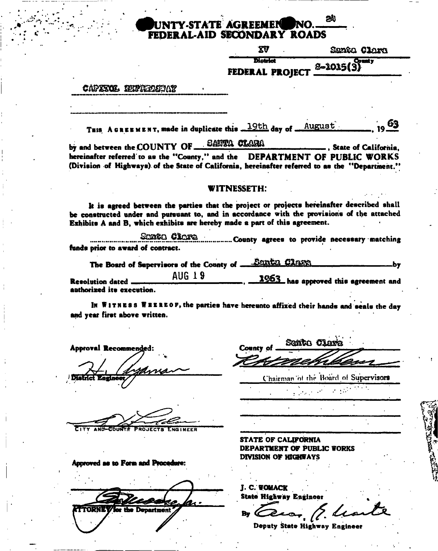# UNTY-STATE AGREEMEN FEDERAL-AID SECONDARY ROADS

| XV                     | Santa Clara |  |
|------------------------|-------------|--|
| <b>District</b>        | $S-1015(3)$ |  |
| <b>FEDERAL PROJECT</b> |             |  |

24

#### CAPXXOL EDIPRIMEIAT

THIS A GREEMENT, made in duplicate this 19th day of August

by and between the COUNTY OF BANTA CLARA ... State of California. hereinafter referred to as the "County," and the DEPARTMENT OF PUBLIC WORKS (Division of Highways) of the State of California, hereinafter referred to as the "Department."

#### **WITNESSETH:**

It is agreed between the parties that the project or projects hereinafter described shall be constructed under and pursuant to, and in accordance with the provisions of the attached Exhibits A and B, which exhibits are hereby made a part of this agreement.

Shingin Claren ................. County agrees to provide necessary matching funds prior to award of contract.

The Board of Supervisors of the County of Samth Clare .bv

AUG 19 1953 has approved this agreement and **Resolution dated** anthorized its execution.

IN WITNESS WEEREOF, the parties have hereunto affixed their hands and seals the day and vear first above written.

**Approval Recommended:** 小同情情者动而痛

AND-COUNTS **PROJECTS ENGINEER** 

Approved as to Form and Procedure:

**TORRAZ** Denartment

Scotto Clavia County of

Chairman of the Board of Supervisors

 $\mathcal{L}^{\text{max}}$ 

**STATE OF CALIFORNIA DEPARTMENT OF PUBLIC WORKS DIVISION OF HIGHWAYS** 

**J. C. WOMACK State Highway Engineer** 

By  $\infty$ Deputy State Highway Engineer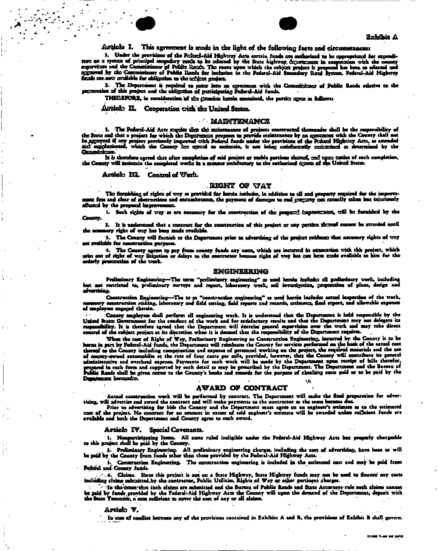



#### Arcicle I. This agreement is made in the light of the following facts and circumstances:

1. Under the provisions of the Federal-Aid Highway Acts certain funds are outherized to be oppropriated for expenditure on a system of principal secondary route to be celected by the State highway departments in cooperatio fundo ore now consiable for obligation to the arbitet project.

2. The Department is required to enter into an agreement with the Committioner of Public Roods relative to the

THEREFORE, in consideration of the gromics herein contained, the parties agree as follows:

#### Arciclo II. Cooperation with the United States.

#### **MAINTENANCE**

1. The Fodoral-Aid Acts require that the maintenance of projects constructed themsunder shall be the responsibility of<br>the State and that a project for which the Department proposes to provide maintenance by an agreement w **Ocassicicos.** 

He increase agreed that after completion of said project or usable partices thereof, and upse notice of such completion, the County will maintain the completion,

#### Article III. Control of Work.

#### RIGHT OF VAY

The fernishing of rights of way as provided for hards includes, in addition to all seal property required for the improve ment free and clear of obstructions and encumbrances, the payment of damages to real graceway can octually taken but injuriously affacted by the proposed improvement.

1. Such rights of way as are necessary for the construction of the proposed improvement, will be furnished by the County.

2. It is understood that a contract for the construction of this project or any pertica thereaf cannot be swarded until the accessary right of way has been made available.

3. The County will furnish to the Department prior to advertising of the project ovidence that necessary rights of way are available for construction purposes.

4. The County agrees to pay from county funds any costs, which are incurred in exametion with this project, which<br>orderly presceution of that of way litigation or delays to the contractor because right of way has not been

#### **ENGINEERING**

Preliminary Engineering—The term "preliminary engineering" as used herein included all preliminary work, including<br>but not restricted to, preliminary surveys and report, laboratory work, soil investigation, proposotion of advertisian.

Construction Engineering--The to m "construction engineering" as used herein includen actual inspection of the work,<br>ury construction staking, laboratory and field testing, field reports and records, crimatcs, final report of umployees engaged therein.

County employees shall perform all engineering work. It is understood that the Department is held responsible by the United States Government for the conduct of the work and for satisfactory results and that the Department may not delegate its responsibility. It is therefore agreed that the Department will exercise general supervision ov atrol of the subject project at its discretion when it is deemed that the responsibility of the Dopartment requirm.

Then the cost of Right of Way, Preliminary Engineering or Construction Engineering, incurred by the County is to be<br>borns in part by Pederal-Aid funds, the Department will reimbure the County for services performed on the as county-wouse a accommodate at the state. Payments for such wrate, provided in the Department upon receipt of bills therefor,<br>prepared in such form and supported by such detail as may be prescribed by the Department. The Department horounder.

#### **AWARD OF CONTRACT**

Actual construction work will be performed by contract. The Department will make the final preparation for adver-

rising, will advertise and award what we we performed by contract. I no Luparamont will mone the small propertation for sever-<br>This result is contributed the contract and will make payments to the contractor as the same be

#### Articlo IV. Special Covenants.

1. Nonporticipating Itoma. All costs ruled incligible under the Federal-Aid Highway Acts but properly chargesble<br>to this project shall be paid by the County.

2. Preliminary Engineering. All preliminary engineering charges, including the cost of advortising, have been or will<br>be paid by the County from funds other than those provided by the Federal-Aid Highway Acts.

Construction Engineering. The construction engineering is included in the estimated cost and may be paid from Pedoral and County funds.

In the grount that such claims are submitted and the Bureau of Public Rosds and State Attorneys rule such claims cannot be paid by funds provided by the Federal-Aid Highway Acts the County will upon the demand of the Department, deposit with the Seate Treasuring, a mea sufficient to cover the cost of any or all claims.

#### Article V.

In case of conflict between any of the provisions contained in Exhibits A and B, the provisions of Exhibit B shall govern.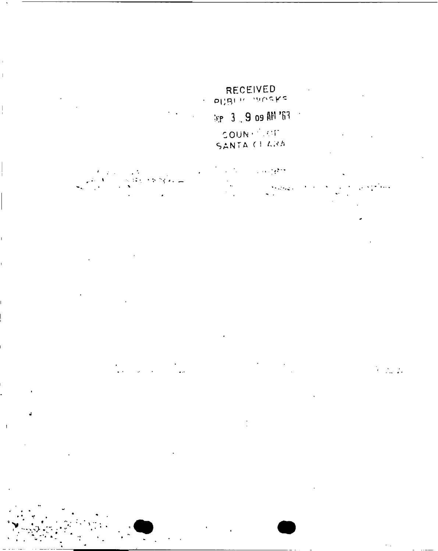# RECEIVED<br>PUBLIC WORKS

# $\log 3$  , 9 os AM '63

 $\|$ 

 $\mathbf{I}$ 

COUNTRIGHT

ा सम्पू*र्क*ा  $\sim$  1925  $\pm$ 

 $\alpha$  ,  $\beta$  ,  $\beta$  ,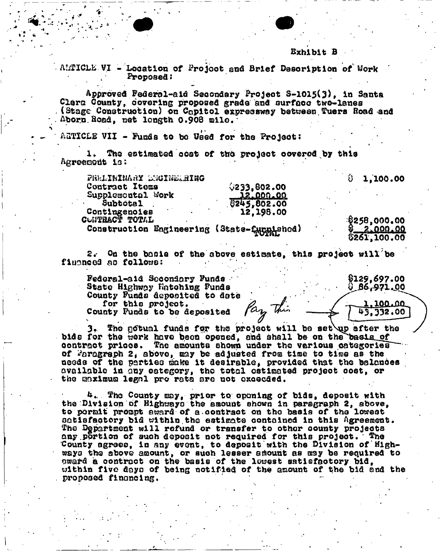#### Exhibit B

AMTICLE VI - Location of Project and Brief Description of Work Proposed:

Approved Federal-aid Secondary Project S-1015(3), in Santa Clara County, covering proposed grade and surface two-lanes (Stage Construction) on Capitol expressway between Tuers Road and Aborn Road, net longth 0.908 mile.

AGTICLE VII - Funds to be Used for the Project:

1. The estimated cost of the project covered by this Agreement is:

PRELIWINARY ENGINEERING  $6233,802.00$ Contract Items Supplemontal Work 12,000.00 0245,802.00 Šuhtotal Contingencies 12,198.00 CUNTRACT TOTAL

Construction Engineering (State-furnished)

\$258,000.00 2.000.00 \$261,100.00

8129,697.00

 $9.86,971.00$ 

1,100.00

43,332.00

 $0.0000$ 

2. On the basis of the shove estimate, this project will be financed as follows:

Federal-aid Secondary Funds. State Highway Matching Funds County Funds deposited to date for this project. Pay this County Funds to be deposited

3. The gotual funds for the project will be set up after the bids for the work have been opened, and shall be on the basis of contract prices. The amounts shown under the various categories of Faragraph 2, above, may be adjusted from time to time as the needs of the parties make it desirable, provided that the balances available in any category, the total ostimated project cost, or the maximum legal pro rata are not execued.

4. The County may, prior to opening of bids, deposit with the Division of Highways the amount shown in paragraph 2, above, to permit prompt award of a contract on the basis of the lowest satisfactory bid within the estimate contained in this Agreement. The Department will refund or transfer to other county projects any portion of such deposit not required for this project. The County agrees, in any event, to deposit with the Division of Highways the above amount, or such lesser smount as may be required to pward a contract on the basis of the lowest satisfactory bid. within five days of being notified of the amount of the bid and the proposed financing.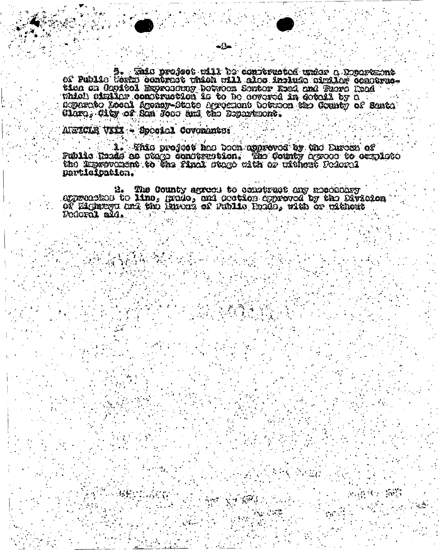datargeC o zobar botorritmos ed 111% dotora akaz .g<br>-erriginos nollado deritmos solo 111% nolar responso existi electro o 20 tion on Copicol Exprosumy botwoon Sontor Road and Ruero Road soparato Local Ageney-State Agreemont botuson the County of Santa Claro, City of San Jose and the Expansiont.

-∆-

AIWICKE VIII - Spocial Covenanter

1. This project has been approved by the Euren of Public Tords as otago construction. The County aproso to sexplote the Improvitiont to the final state with or ulthest Federal participation.

2. The County agrees to construct any mechanisy approached to line, grade, and ocction expreved by the Division OF Eighnoyu and the Burens of Public Podds, with or without Podoral ald.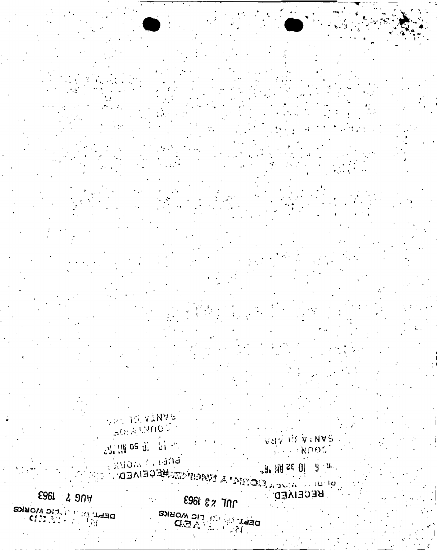**10L 23 1963** DEPT OF THE WORKS

E961 2 9NW DEPT OF A THIC WORKS

Exponent and di **DIRECT WARDERS AND DESCRIPTION OF A PARTICE IN EDUCTION OF A PARTICE IN EQUATION** 

BULLIN OS di Pai Pri

J. HUZE 01 9 5.

**GAN IS A TARA** I ANDOS

**RECEIVED.** 

VAL JOIN AT AAAA  $\mathfrak{so(2)}\otimes\mathfrak{so(0)}$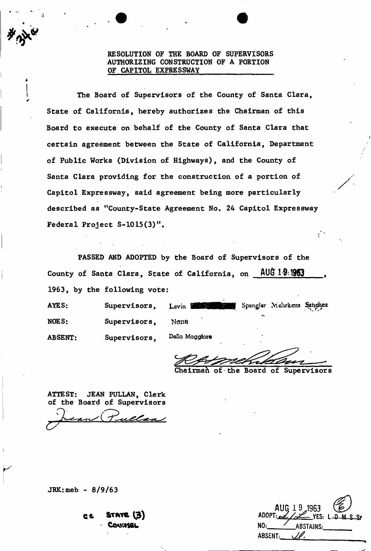### RESOLUTION OF THE BOARD OF SUPERVISORS AUTHORIZING CONSTRUCTION OF A PORTION OF CAPITOL EXPRESSWAY

The Board of Supervisors of the County of Santa Clara, State of California, hereby authorizes the Chairman of this Board to execute on behalf of the County of Santa Clara that certain agreement between the State of California, Department of Public Works (Division of Highways), and the County of Santa Clara providing for the construction of a portion of Capitol Expressway, said agreement being more particularly described as "County-State Agreement No. 24 Capitol Expressway Federal Project S-1015(3)".

PASSED AND ADOPTED by the Board of Supervisors of the County of Santa Clara, State of California, on AUG 19:1963 1963, by the following vote:

AYES: Supervisors, Levin Supervisors, Levin Spangler Mehrkens Sanchez V- $\sum_{i=1}^{n}$ ABSENT: Supervisors, **Politica** *Maggiore* 

of the Board of Supervisors

ATTEST: JEAN PULLAN, Clerk of the Board of Supervisors

 $JRK:$  meb - 8/9/63

| c t | $\text{STATE}$ $(3)$ |  |
|-----|----------------------|--|
|     | - COUNSEL            |  |

AUG 19,1963 ADOPT: yes: L-D-M NO: **ABSTAINS:** ABSENT: 11.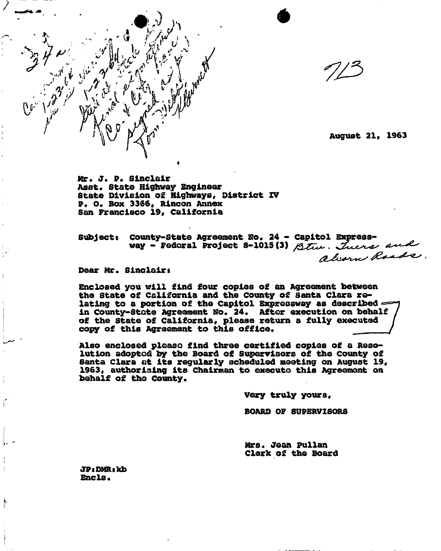

**Mr. J. P. Sinclair Asst. Stat© Highway Engineer State Division of Highways, District XV P. O. Box 3366, Rlncon Annex San Francisco 19, California** 

**Subjects County-State Agreement No. 24 - Capitol**  way - Federal Project 8-1015 (3) Btw. Juers and

**Dear Mr. Sinclairt** 

**Enclosed you will find four copies o£ an Agreement between the State of California and the County of Santa Clara relating to a portion of the Capitol Expressway as described in County-State Agreement No. 24. After execution on behalf of the state of California, please return a fully executed**  the state of California and the County of Santa Clara Fe-<br>lating to a portion of the Capitol Expressway as described<br>in County-State Agreement No. 24. After execution on behalf<br>of the State of California, please return a f

**Also enclosed ploaso find three certified copies of a Resolution adoptod by the Board of Supervisors of the County of Santa Clara at its regularly scheduled meeting on August 19, 1963, authorising its Chairman to execute this Agreement on behalf of the County.** 

**Very truly yours,** 

**BOARD OF SUPERVISORS** 

**Mrs. Jean Pullan Clerk of the Board** 

**JPtDMRskb Encls.**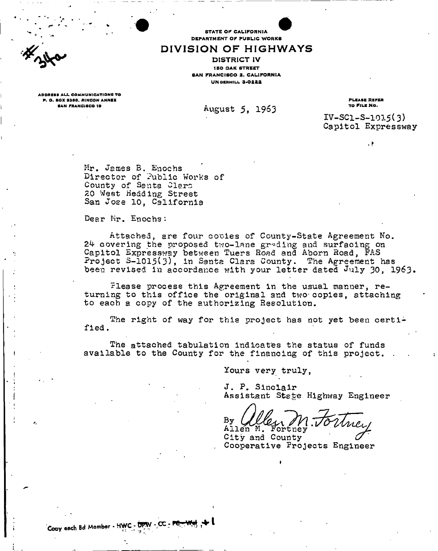STATE OF CALIFORNIA DEPARTMENT OF PUBLIC WORKS

# DIVISION OF HIGHWAYS

**IBO OAK STREET** SAN FRANCISCO 2, CALIFORNIA UN OERHILL 3-0222 DISTRICT IV

ADDRES S AL L COMMUNICATIONS TO P. O. BOX S3S0 . R1NCON ANNEX

SAN FRANCISCO 19<br>August 5, 1963

PLEASE REFER TO FILE NO.

 $IV-SC1-S-1015(3)$ Capitol Expressway

. *\** 

Mr. James B. Enochs Director of Public Works of County of Santa Clare *ZO West* Hedding Street San Jose 10, California

Dear Mr. Enochs:

Attached, are four cooies of County-State Agreement No. 24 covering the proposed two-lane grading and surfacing on Capitol Expressway between Tuers Road and Aborn Road, FAS Project **3-ioi5(3),** in Santa Clara County. The Agreement has been revised in accordance with your letter dated July 30, 1963.

Flease process this Agreement in the usual manner, returning to this office the original and two-copies, attaching to each a copy of the authorizing Resolution.

The right of way for this project has not yet been certified .

The attached tabulation indicates the status of funds available to the County for the financing of this project. .

Yours very truly,

J. P. Sinclair Assistant State Highway Engineer

By Allen M. Fortney

City and County *(7*  Cooperative Projects Engineer